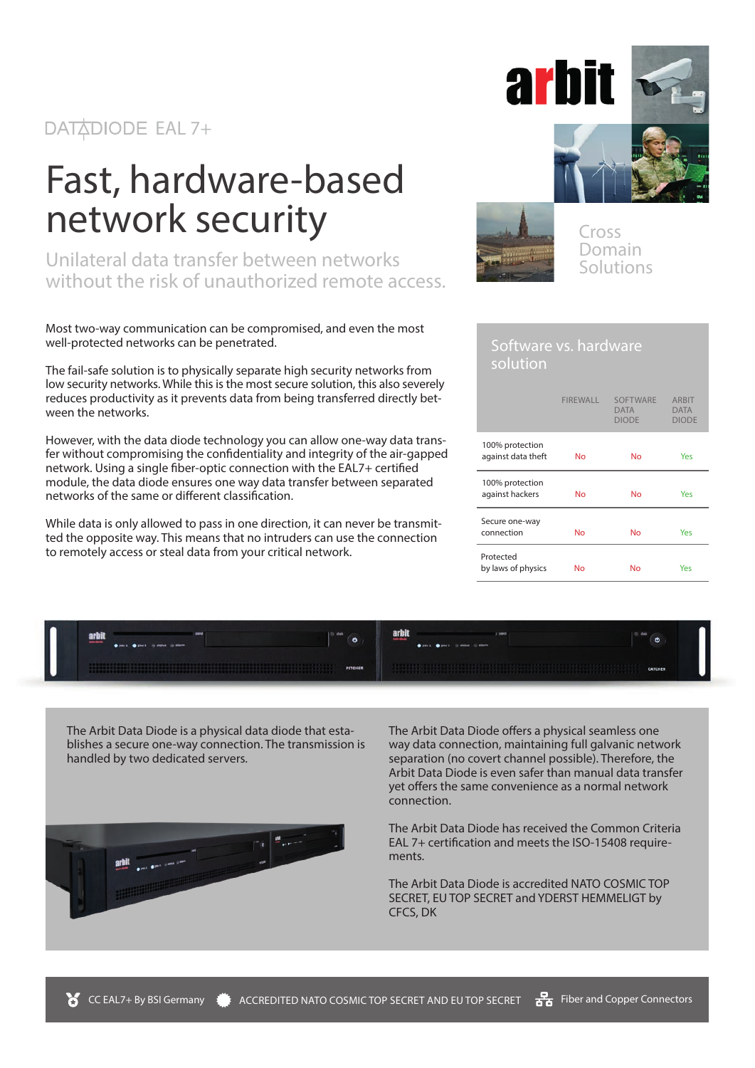#### DATADIODE EAL 7+

# Fast, hardware-based network security

Unilateral data transfer between networks without the risk of unauthorized remote access.

Most two-way communication can be compromised, and even the most well-protected networks can be penetrated.

The fail-safe solution is to physically separate high security networks from low security networks. While this is the most secure solution, this also severely reduces productivity as it prevents data from being transferred directly between the networks.

However, with the data diode technology you can allow one-way data transfer without compromising the confidentiality and integrity of the air-gapped network. Using a single fiber-optic connection with the EAL7+ certified module, the data diode ensures one way data transfer between separated networks of the same or different classification.

While data is only allowed to pass in one direction, it can never be transmitted the opposite way. This means that no intruders can use the connection to remotely access or steal data from your critical network.







Cross Domain Solutions

#### Software vs. hardware solution

|                                       | <b>FIREWALL</b> | <b>SOFTWARE</b><br><b>DATA</b><br><b>DIODE</b> | <b>ARBIT</b><br><b>DATA</b><br><b>DIODE</b> |
|---------------------------------------|-----------------|------------------------------------------------|---------------------------------------------|
| 100% protection<br>against data theft | No              | <b>No</b>                                      | Yes                                         |
| 100% protection<br>against hackers    | No              | <b>No</b>                                      | Yes                                         |
| Secure one-way<br>connection          | No              | <b>No</b>                                      | Yes                                         |
| Protected<br>by laws of physics       | No              | No                                             | Yes                                         |



The Arbit Data Diode is a physical data diode that establishes a secure one-way connection. The transmission is handled by two dedicated servers.



The Arbit Data Diode offers a physical seamless one way data connection, maintaining full galvanic network separation (no covert channel possible). Therefore, the Arbit Data Diode is even safer than manual data transfer yet offers the same convenience as a normal network connection.

The Arbit Data Diode has received the Common Criteria EAL 7+ certification and meets the ISO-15408 requirements.

The Arbit Data Diode is accredited NATO COSMIC TOP SECRET, EU TOP SECRET and YDERST HEMMELIGT by CFCS, DK